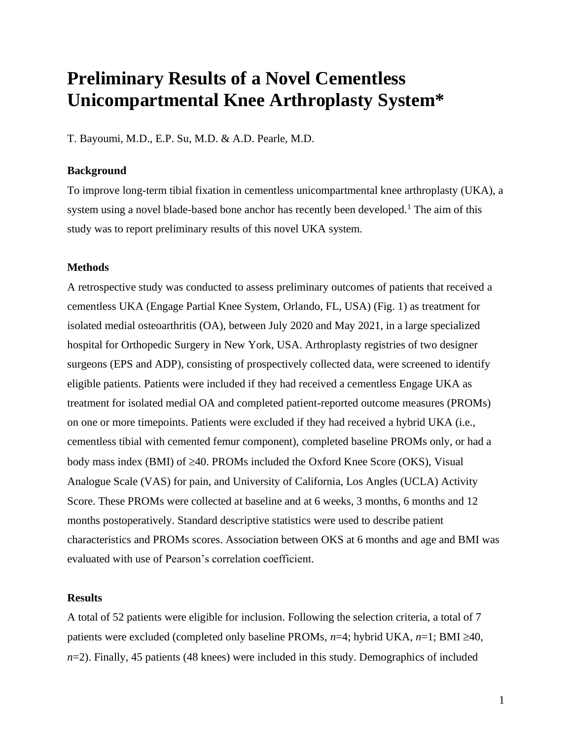# **Preliminary Results of a Novel Cementless Unicompartmental Knee Arthroplasty System\***

T. Bayoumi, M.D., E.P. Su, M.D. & A.D. Pearle, M.D.

#### **Background**

To improve long-term tibial fixation in cementless unicompartmental knee arthroplasty (UKA), a system using a novel blade-based bone anchor has recently been developed.<sup>1</sup> The aim of this study was to report preliminary results of this novel UKA system.

### **Methods**

A retrospective study was conducted to assess preliminary outcomes of patients that received a cementless UKA (Engage Partial Knee System, Orlando, FL, USA) (Fig. 1) as treatment for isolated medial osteoarthritis (OA), between July 2020 and May 2021, in a large specialized hospital for Orthopedic Surgery in New York, USA. Arthroplasty registries of two designer surgeons (EPS and ADP), consisting of prospectively collected data, were screened to identify eligible patients. Patients were included if they had received a cementless Engage UKA as treatment for isolated medial OA and completed patient-reported outcome measures (PROMs) on one or more timepoints. Patients were excluded if they had received a hybrid UKA (i.e., cementless tibial with cemented femur component), completed baseline PROMs only, or had a body mass index (BMI) of  $\geq$ 40. PROMs included the Oxford Knee Score (OKS), Visual Analogue Scale (VAS) for pain, and University of California, Los Angles (UCLA) Activity Score. These PROMs were collected at baseline and at 6 weeks, 3 months, 6 months and 12 months postoperatively. Standard descriptive statistics were used to describe patient characteristics and PROMs scores. Association between OKS at 6 months and age and BMI was evaluated with use of Pearson's correlation coefficient.

#### **Results**

A total of 52 patients were eligible for inclusion. Following the selection criteria, a total of 7 patients were excluded (completed only baseline PROMs,  $n=4$ ; hybrid UKA,  $n=1$ ; BMI  $\geq 40$ , *n*=2). Finally, 45 patients (48 knees) were included in this study. Demographics of included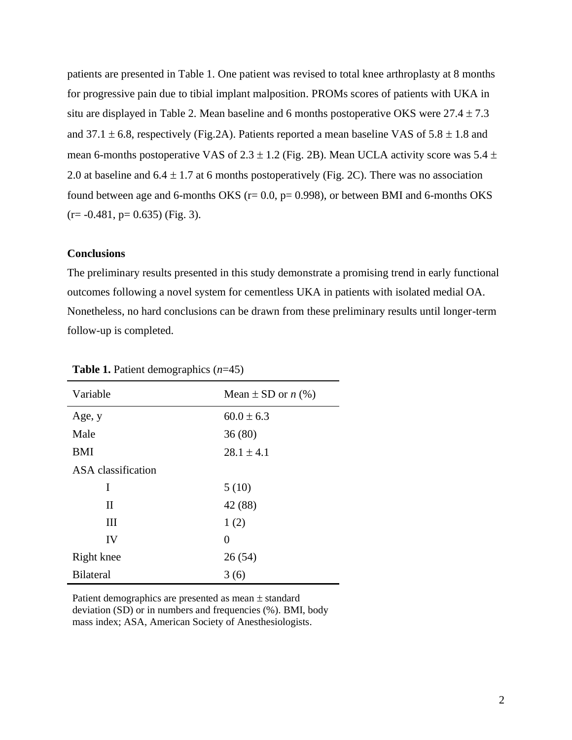patients are presented in Table 1. One patient was revised to total knee arthroplasty at 8 months for progressive pain due to tibial implant malposition. PROMs scores of patients with UKA in situ are displayed in Table 2. Mean baseline and 6 months postoperative OKS were  $27.4 \pm 7.3$ and 37.1  $\pm$  6.8, respectively (Fig.2A). Patients reported a mean baseline VAS of 5.8  $\pm$  1.8 and mean 6-months postoperative VAS of  $2.3 \pm 1.2$  (Fig. 2B). Mean UCLA activity score was  $5.4 \pm$ 2.0 at baseline and  $6.4 \pm 1.7$  at 6 months postoperatively (Fig. 2C). There was no association found between age and 6-months OKS ( $r= 0.0$ ,  $p= 0.998$ ), or between BMI and 6-months OKS  $(r=-0.481, p=0.635)$  (Fig. 3).

#### **Conclusions**

The preliminary results presented in this study demonstrate a promising trend in early functional outcomes following a novel system for cementless UKA in patients with isolated medial OA. Nonetheless, no hard conclusions can be drawn from these preliminary results until longer-term follow-up is completed.

| Variable           | Mean $\pm$ SD or <i>n</i> (%) |
|--------------------|-------------------------------|
| Age, y             | $60.0 \pm 6.3$                |
| Male               | 36(80)                        |
| <b>BMI</b>         | $28.1 \pm 4.1$                |
| ASA classification |                               |
| I                  | 5(10)                         |
| $\mathbf{I}$       | 42 (88)                       |
| Ш                  | 1(2)                          |
| IV                 | 0                             |
| Right knee         | 26(54)                        |
| <b>Bilateral</b>   | 3(6)                          |

**Table 1.** Patient demographics (*n*=45)

Patient demographics are presented as mean  $\pm$  standard deviation (SD) or in numbers and frequencies (%). BMI, body mass index; ASA, American Society of Anesthesiologists.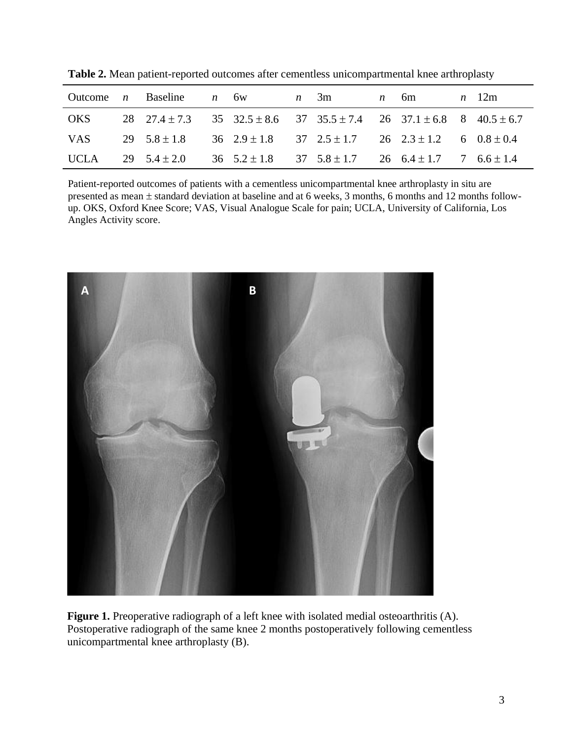|            | Outcome <i>n</i> Baseline <i>n</i> 6w                                                    |  | $n \quad 3m$ | $n = 6m$ | $n \quad 12m$ |
|------------|------------------------------------------------------------------------------------------|--|--------------|----------|---------------|
| OKS        | 28 27.4 ± 7.3 35 32.5 ± 8.6 37 35.5 ± 7.4 26 37.1 ± 6.8 8 40.5 ± 6.7                     |  |              |          |               |
| <b>VAS</b> | 29 $5.8 \pm 1.8$ 36 $2.9 \pm 1.8$ 37 $2.5 \pm 1.7$ 26 $2.3 \pm 1.2$ 6 $0.8 \pm 0.4$      |  |              |          |               |
|            | UCLA 29 $5.4 \pm 2.0$ 36 $5.2 \pm 1.8$ 37 $5.8 \pm 1.7$ 26 $6.4 \pm 1.7$ 7 $6.6 \pm 1.4$ |  |              |          |               |

**Table 2.** Mean patient-reported outcomes after cementless unicompartmental knee arthroplasty

Patient-reported outcomes of patients with a cementless unicompartmental knee arthroplasty in situ are presented as mean  $\pm$  standard deviation at baseline and at 6 weeks, 3 months, 6 months and 12 months followup. OKS, Oxford Knee Score; VAS, Visual Analogue Scale for pain; UCLA, University of California, Los Angles Activity score.



Figure 1. Preoperative radiograph of a left knee with isolated medial osteoarthritis (A). Postoperative radiograph of the same knee 2 months postoperatively following cementless unicompartmental knee arthroplasty (B).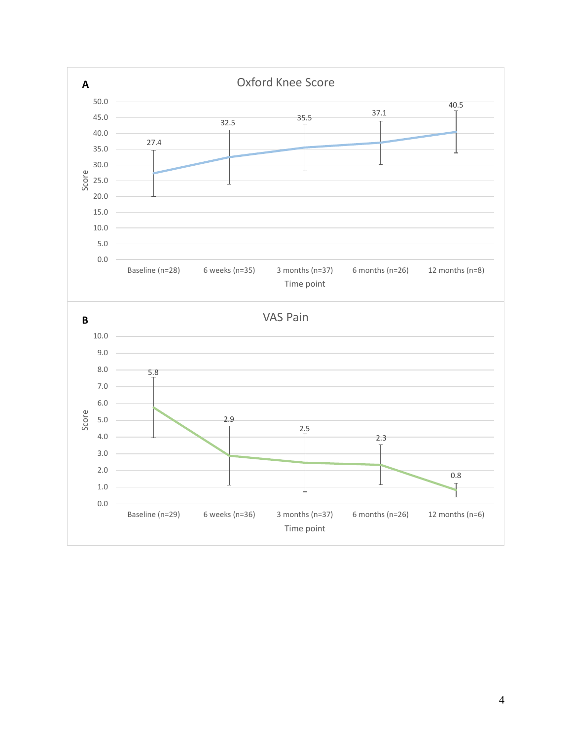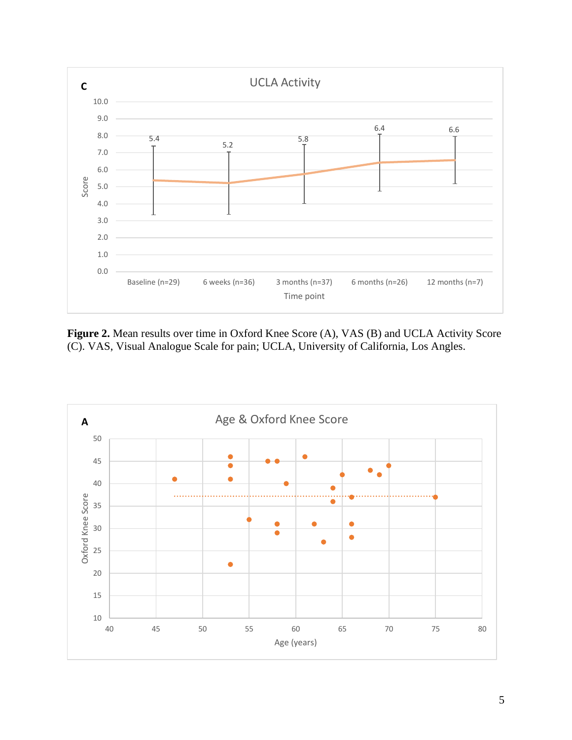

Figure 2. Mean results over time in Oxford Knee Score (A), VAS (B) and UCLA Activity Score (C). VAS, Visual Analogue Scale for pain; UCLA, University of California, Los Angles.